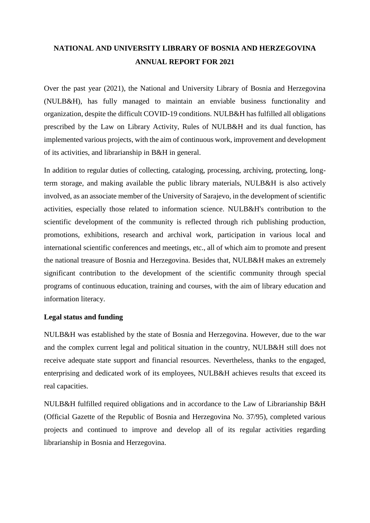# **NATIONAL AND UNIVERSITY LIBRARY OF BOSNIA AND HERZEGOVINA ANNUAL REPORT FOR 2021**

Over the past year (2021), the National and University Library of Bosnia and Herzegovina (NULB&H), has fully managed to maintain an enviable business functionality and organization, despite the difficult COVID-19 conditions. NULB&H has fulfilled all obligations prescribed by the Law on Library Activity, Rules of NULB&H and its dual function, has implemented various projects, with the aim of continuous work, improvement and development of its activities, and librarianship in B&H in general.

In addition to regular duties of collecting, cataloging, processing, archiving, protecting, longterm storage, and making available the public library materials, NULB&H is also actively involved, as an associate member of the University of Sarajevo, in the development of scientific activities, especially those related to information science. NULB&H's contribution to the scientific development of the community is reflected through rich publishing production, promotions, exhibitions, research and archival work, participation in various local and international scientific conferences and meetings, etc., all of which aim to promote and present the national treasure of Bosnia and Herzegovina. Besides that, NULB&H makes an extremely significant contribution to the development of the scientific community through special programs of continuous education, training and courses, with the aim of library education and information literacy.

#### **Legal status and funding**

NULB&H was established by the state of Bosnia and Herzegovina. However, due to the war and the complex current legal and political situation in the country, NULB&H still does not receive adequate state support and financial resources. Nevertheless, thanks to the engaged, enterprising and dedicated work of its employees, NULB&H achieves results that exceed its real capacities.

NULB&H fulfilled required obligations and in accordance to the Law of Librarianship B&H (Official Gazette of the Republic of Bosnia and Herzegovina No. 37/95), completed various projects and continued to improve and develop all of its regular activities regarding librarianship in Bosnia and Herzegovina.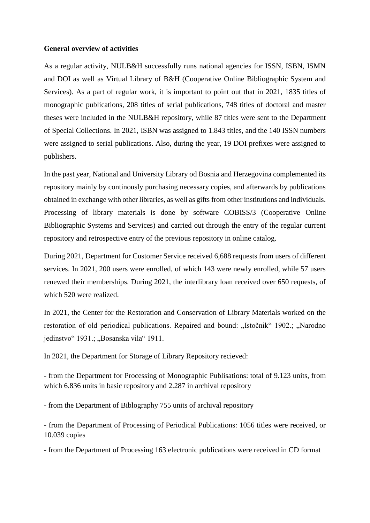#### **General overview of activities**

As a regular activity, NULB&H successfully runs national agencies for ISSN, ISBN, ISMN and DOI as well as Virtual Library of B&H (Cooperative Online Bibliographic System and Services). As a part of regular work, it is important to point out that in 2021, 1835 titles of monographic publications, 208 titles of serial publications, 748 titles of doctoral and master theses were included in the NULB&H repository, while 87 titles were sent to the Department of Special Collections. In 2021, ISBN was assigned to 1.843 titles, and the 140 ISSN numbers were assigned to serial publications. Also, during the year, 19 DOI prefixes were assigned to publishers.

In the past year, National and University Library od Bosnia and Herzegovina complemented its repository mainly by continously purchasing necessary copies, and afterwards by publications obtained in exchange with other libraries, as well as gifts from other institutions and individuals. Processing of library materials is done by software COBISS/3 (Cooperative Online Bibliographic Systems and Services) and carried out through the entry of the regular current repository and retrospective entry of the previous repository in online catalog.

During 2021, Department for Customer Service received 6,688 requests from users of different services. In 2021, 200 users were enrolled, of which 143 were newly enrolled, while 57 users renewed their memberships. During 2021, the interlibrary loan received over 650 requests, of which 520 were realized.

In 2021, the Center for the Restoration and Conservation of Library Materials worked on the restoration of old periodical publications. Repaired and bound: "Istočnik" 1902.; "Narodno jedinstvo" 1931.; "Bosanska vila" 1911.

In 2021, the Department for Storage of Library Repository recieved:

- from the Department for Processing of Monographic Publisations: total of 9.123 units, from which 6.836 units in basic repository and 2.287 in archival repository

- from the Department of Biblography 755 units of archival repository

- from the Department of Processing of Periodical Publications: 1056 titles were received, or 10.039 copies

- from the Department of Processing 163 electronic publications were received in CD format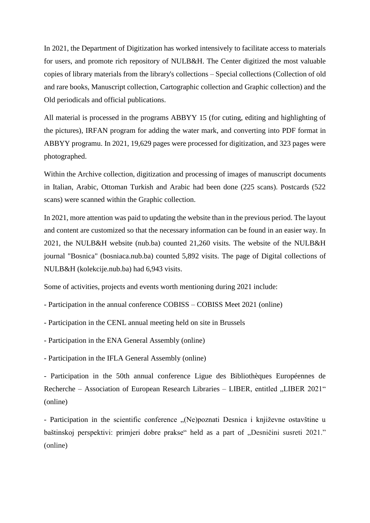In 2021, the Department of Digitization has worked intensively to facilitate access to materials for users, and promote rich repository of NULB&H. The Center digitized the most valuable copies of library materials from the library's collections – Special collections (Collection of old and rare books, Manuscript collection, Cartographic collection and Graphic collection) and the Old periodicals and official publications.

All material is processed in the programs ABBYY 15 (for cuting, editing and highlighting of the pictures), IRFAN program for adding the water mark, and converting into PDF format in ABBYY programu. In 2021, 19,629 pages were processed for digitization, and 323 pages were photographed.

Within the Archive collection, digitization and processing of images of manuscript documents in Italian, Arabic, Ottoman Turkish and Arabic had been done (225 scans). Postcards (522 scans) were scanned within the Graphic collection.

In 2021, more attention was paid to updating the website than in the previous period. The layout and content are customized so that the necessary information can be found in an easier way. In 2021, the NULB&H website (nub.ba) counted 21,260 visits. The website of the NULB&H journal "Bosnica" (bosniaca.nub.ba) counted 5,892 visits. The page of Digital collections of NULB&H (kolekcije.nub.ba) had 6,943 visits.

Some of activities, projects and events worth mentioning during 2021 include:

- Participation in the annual conference COBISS COBISS Meet 2021 (online)
- Participation in the CENL annual meeting held on site in Brussels
- Participation in the ENA General Assembly (online)
- Participation in the IFLA General Assembly (online)

- Participation in the 50th annual conference Ligue des Bibliothèques Européennes de Recherche – Association of European Research Libraries – LIBER, entitled "LIBER 2021" (online)

- Participation in the scientific conference "(Ne)poznati Desnica i književne ostavštine u baštinskoj perspektivi: primjeri dobre prakse" held as a part of "Desničini susreti 2021." (online)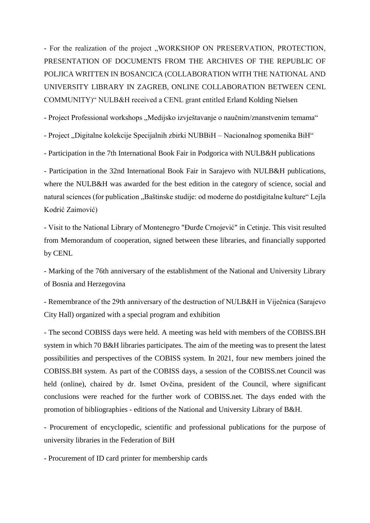- For the realization of the project "WORKSHOP ON PRESERVATION, PROTECTION, PRESENTATION OF DOCUMENTS FROM THE ARCHIVES OF THE REPUBLIC OF POLJICA WRITTEN IN BOSANCICA (COLLABORATION WITH THE NATIONAL AND UNIVERSITY LIBRARY IN ZAGREB, ONLINE COLLABORATION BETWEEN CENL COMMUNITY)" NULB&H received a CENL grant entitled Erland Kolding Nielsen

- Project Professional workshops "Medijsko izvještavanje o naučnim/znanstvenim temama"

- Project "Digitalne kolekcije Specijalnih zbirki NUBBiH – Nacionalnog spomenika BiH"

- Participation in the 7th International Book Fair in Podgorica with NULB&H publications

- Participation in the 32nd International Book Fair in Sarajevo with NULB&H publications, where the NULB&H was awarded for the best edition in the category of science, social and natural sciences (for publication "Baštinske studije: od moderne do postdigitalne kulture" Lejla Kodrić Zaimović)

- Visit to the National Library of Montenegro "Đurđe Crnojević" in Cetinje. This visit resulted from Memorandum of cooperation, signed between these libraries, and financially supported by CENL

- Marking of the 76th anniversary of the establishment of the National and University Library of Bosnia and Herzegovina

- Remembrance of the 29th anniversary of the destruction of NULB&H in Viječnica (Sarajevo City Hall) organized with a special program and exhibition

- The second COBISS days were held. A meeting was held with members of the COBISS.BH system in which 70 B&H libraries participates. The aim of the meeting was to present the latest possibilities and perspectives of the COBISS system. In 2021, four new members joined the COBISS.BH system. As part of the COBISS days, a session of the COBISS.net Council was held (online), chaired by dr. Ismet Ovčina, president of the Council, where significant conclusions were reached for the further work of COBISS.net. The days ended with the promotion of bibliographies - editions of the National and University Library of B&H.

- Procurement of encyclopedic, scientific and professional publications for the purpose of university libraries in the Federation of BiH

- Procurement of ID card printer for membership cards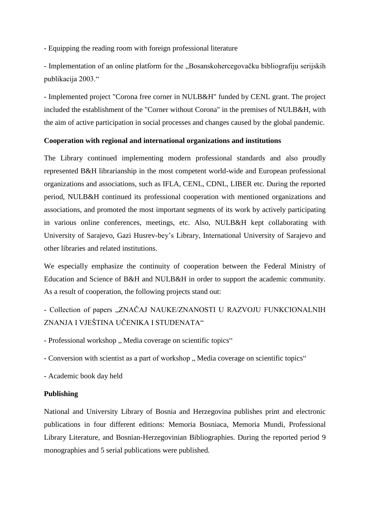- Equipping the reading room with foreign professional literature

- Implementation of an online platform for the ..Bosanskohercegovačku bibliografiju serijskih publikacija 2003."

- Implemented project "Corona free corner in NULB&H" funded by CENL grant. The project included the establishment of the "Corner without Corona" in the premises of NULB&H, with the aim of active participation in social processes and changes caused by the global pandemic.

## **Cooperation with regional and international organizations and institutions**

The Library continued implementing modern professional standards and also proudly represented B&H librarianship in the most competent world-wide and European professional organizations and associations, such as IFLA, CENL, CDNL, LIBER etc. During the reported period, NULB&H continued its professional cooperation with mentioned organizations and associations, and promoted the most important segments of its work by actively participating in various online conferences, meetings, etc. Also, NULB&H kept collaborating with University of Sarajevo, Gazi Husrev-bey's Library, International University of Sarajevo and other libraries and related institutions.

We especially emphasize the continuity of cooperation between the Federal Ministry of Education and Science of B&H and NULB&H in order to support the academic community. As a result of cooperation, the following projects stand out:

- Collection of papers "ZNAČAJ NAUKE/ZNANOSTI U RAZVOJU FUNKCIONALNIH ZNANJA I VJEŠTINA UČENIKA I STUDENATA"

- Professional workshop " Media coverage on scientific topics"
- Conversion with scientist as a part of workshop " Media coverage on scientific topics"
- Academic book day held

### **Publishing**

National and University Library of Bosnia and Herzegovina publishes print and electronic publications in four different editions: Memoria Bosniaca, Memoria Mundi, Professional Library Literature, and Bosnian-Herzegovinian Bibliographies. During the reported period 9 monographies and 5 serial publications were published.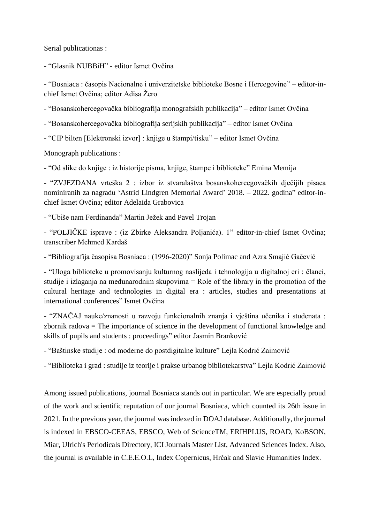Serial publicationas :

- "Glasnik NUBBiH" - editor Ismet Ovčina

- "Bosniaca : časopis Nacionalne i univerzitetske biblioteke Bosne i Hercegovine" – editor-inchief Ismet Ovčina; editor Adisa Žero

- "Bosanskohercegovačka bibliografija monografskih publikacija" – editor Ismet Ovčina

- "Bosanskohercegovačka bibliografija serijskih publikacija" – editor Ismet Ovčina

- "CIP bilten [Elektronski izvor] : knjige u štampi/tisku" – editor Ismet Ovčina

Monograph publications :

- "Od slike do knjige : iz historije pisma, knjige, štampe i biblioteke" Emina Memija

- "ZVJEZDANA vrteška 2 : izbor iz stvaralaštva bosanskohercegovačkih dječijih pisaca nominiranih za nagradu 'Astrid Lindgren Memorial Award' 2018. – 2022. godina" editor-inchief Ismet Ovčina; editor Adelaida Grabovica

- "Ubiše nam Ferdinanda" Martin Ježek and Pavel Trojan

- "POLJIČKE isprave : (iz Zbirke Aleksandra Poljanića). 1" editor-in-chief Ismet Ovčina; transcriber Mehmed Kardaš

- "Bibliografija časopisa Bosniaca : (1996-2020)" Sonja Polimac and Azra Smajić Gačević

- "Uloga biblioteke u promovisanju kulturnog naslijeđa i tehnologija u digitalnoj eri : članci, studije i izlaganja na međunarodnim skupovima = Role of the library in the promotion of the cultural heritage and technologies in digital era : articles, studies and presentations at international conferences" Ismet Ovčina

- "ZNAČAJ nauke/znanosti u razvoju funkcionalnih znanja i vještina učenika i studenata : zbornik radova = The importance of science in the development of functional knowledge and skills of pupils and students : proceedings" editor Jasmin Branković

- "Baštinske studije : od moderne do postdigitalne kulture" Lejla Kodrić Zaimović

- "Biblioteka i grad : studije iz teorije i prakse urbanog bibliotekarstva" Lejla Kodrić Zaimović

Among issued publications, journal Bosniaca stands out in particular. We are especially proud of the work and scientific reputation of our journal Bosniaca, which counted its 26th issue in 2021. In the previous year, the journal was indexed in DOAJ database. Additionally, the journal is indexed in EBSCO-CEEAS, EBSCO, Web of ScienceTM, ERIHPLUS, ROAD, KoBSON, Miar, Ulrich's Periodicals Directory, ICI Journals Master List, Advanced Sciences Index. Also, the journal is available in C.E.E.O.L, Index Copernicus, Hrčak and Slavic Humanities Index.